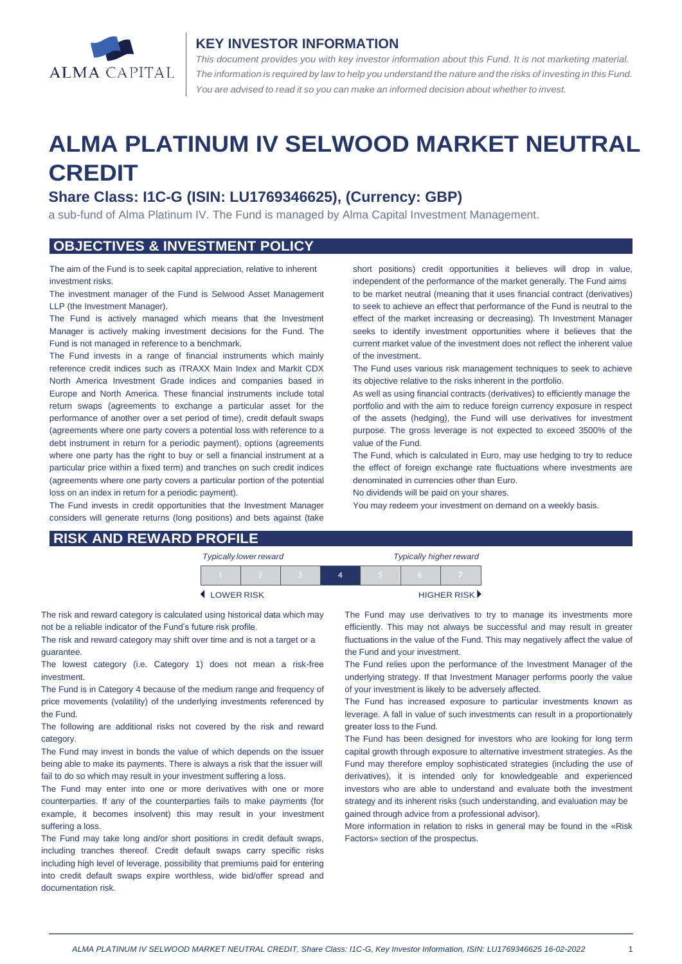

#### **KEY INVESTOR INFORMATION**

*This document provides you with key investor information about this Fund. It is not marketing material.*  The information is required by law to help you understand the nature and the risks of investing in this Fund. *You are advised to read it so you can make an informed decision about whether to invest.*

# **ALMA PLATINUM IV SELWOOD MARKET NEUTRAL CREDIT**

## **Share Class: I1C-G (ISIN: LU1769346625), (Currency: GBP)**

a sub-fund of Alma Platinum IV. The Fund is managed by Alma Capital Investment Management.

## **OBJECTIVES & INVESTMENT POLICY**

The aim of the Fund is to seek capital appreciation, relative to inherent investment risks.

The investment manager of the Fund is Selwood Asset Management LLP (the Investment Manager).

The Fund is actively managed which means that the Investment Manager is actively making investment decisions for the Fund. The Fund is not managed in reference to a benchmark.

The Fund invests in a range of financial instruments which mainly reference credit indices such as iTRAXX Main Index and Markit CDX North America Investment Grade indices and companies based in Europe and North America. These financial instruments include total return swaps (agreements to exchange a particular asset for the performance of another over a set period of time), credit default swaps (agreements where one party covers a potential loss with reference to a debt instrument in return for a periodic payment), options (agreements where one party has the right to buy or sell a financial instrument at a particular price within a fixed term) and tranches on such credit indices (agreements where one party covers a particular portion of the potential loss on an index in return for a periodic payment).

The Fund invests in credit opportunities that the Investment Manager considers will generate returns (long positions) and bets against (take short positions) credit opportunities it believes will drop in value, independent of the performance of the market generally. The Fund aims to be market neutral (meaning that it uses financial contract (derivatives) to seek to achieve an effect that performance of the Fund is neutral to the effect of the market increasing or decreasing). Th Investment Manager seeks to identify investment opportunities where it believes that the current market value of the investment does not reflect the inherent value of the investment.

The Fund uses various risk management techniques to seek to achieve its objective relative to the risks inherent in the portfolio.

As well as using financial contracts (derivatives) to efficiently manage the portfolio and with the aim to reduce foreign currency exposure in respect of the assets (hedging), the Fund will use derivatives for investment purpose. The gross leverage is not expected to exceed 3500% of the value of the Fund.

The Fund, which is calculated in Euro, may use hedging to try to reduce the effect of foreign exchange rate fluctuations where investments are denominated in currencies other than Euro.

No dividends will be paid on your shares.

You may redeem your investment on demand on a weekly basis.

|  | <b>RISK AND REWARD PROFILE</b> |
|--|--------------------------------|
|  |                                |

| <b>Typically lower reward</b> |  |  | <b>Typically higher reward</b> |  |                             |  |
|-------------------------------|--|--|--------------------------------|--|-----------------------------|--|
|                               |  |  | Δ                              |  |                             |  |
| <b>LOWER RISK</b>             |  |  |                                |  | HIGHER RISK <sup>&gt;</sup> |  |

The risk and reward category is calculated using historical data which may not be a reliable indicator of the Fund's future risk profile.

The risk and reward category may shift over time and is not a target or a guarantee.

The lowest category (i.e. Category 1) does not mean a risk-free investment.

The Fund is in Category 4 because of the medium range and frequency of price movements (volatility) of the underlying investments referenced by the Fund.

The following are additional risks not covered by the risk and reward category.

The Fund may invest in bonds the value of which depends on the issuer being able to make its payments. There is always a risk that the issuer will fail to do so which may result in your investment suffering a loss.

The Fund may enter into one or more derivatives with one or more counterparties. If any of the counterparties fails to make payments (for example, it becomes insolvent) this may result in your investment suffering a loss.

The Fund may take long and/or short positions in credit default swaps, including tranches thereof. Credit default swaps carry specific risks including high level of leverage, possibility that premiums paid for entering into credit default swaps expire worthless, wide bid/offer spread and documentation risk.

The Fund may use derivatives to try to manage its investments more efficiently. This may not always be successful and may result in greater fluctuations in the value of the Fund. This may negatively affect the value of the Fund and your investment.

The Fund relies upon the performance of the Investment Manager of the underlying strategy. If that Investment Manager performs poorly the value of your investment is likely to be adversely affected.

The Fund has increased exposure to particular investments known as leverage. A fall in value of such investments can result in a proportionately greater loss to the Fund.

The Fund has been designed for investors who are looking for long term capital growth through exposure to alternative investment strategies. As the Fund may therefore employ sophisticated strategies (including the use of derivatives), it is intended only for knowledgeable and experienced investors who are able to understand and evaluate both the investment strategy and its inherent risks (such understanding, and evaluation may be gained through advice from a professional advisor).

More information in relation to risks in general may be found in the «Risk Factors» section of the prospectus.